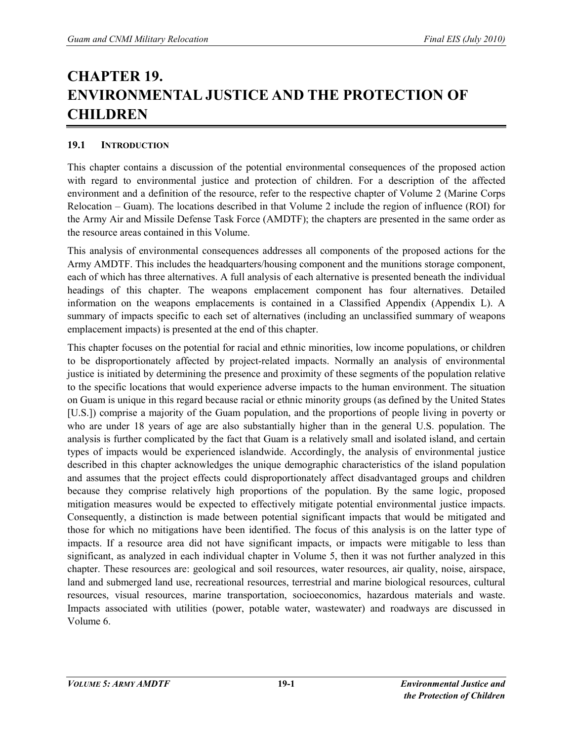# **CHAPTER 19. ENVIRONMENTAL JUSTICE AND THE PROTECTION OF CHILDREN**

# **19.1 INTRODUCTION**

This chapter contains a discussion of the potential environmental consequences of the proposed action with regard to environmental justice and protection of children. For a description of the affected environment and a definition of the resource, refer to the respective chapter of Volume 2 (Marine Corps Relocation – Guam). The locations described in that Volume 2 include the region of influence (ROI) for the Army Air and Missile Defense Task Force (AMDTF); the chapters are presented in the same order as the resource areas contained in this Volume.

This analysis of environmental consequences addresses all components of the proposed actions for the Army AMDTF. This includes the headquarters/housing component and the munitions storage component, each of which has three alternatives. A full analysis of each alternative is presented beneath the individual headings of this chapter. The weapons emplacement component has four alternatives. Detailed information on the weapons emplacements is contained in a Classified Appendix (Appendix L). A summary of impacts specific to each set of alternatives (including an unclassified summary of weapons emplacement impacts) is presented at the end of this chapter.

This chapter focuses on the potential for racial and ethnic minorities, low income populations, or children to be disproportionately affected by project-related impacts. Normally an analysis of environmental justice is initiated by determining the presence and proximity of these segments of the population relative to the specific locations that would experience adverse impacts to the human environment. The situation on Guam is unique in this regard because racial or ethnic minority groups (as defined by the United States [U.S.]) comprise a majority of the Guam population, and the proportions of people living in poverty or who are under 18 years of age are also substantially higher than in the general U.S. population. The analysis is further complicated by the fact that Guam is a relatively small and isolated island, and certain types of impacts would be experienced islandwide. Accordingly, the analysis of environmental justice described in this chapter acknowledges the unique demographic characteristics of the island population and assumes that the project effects could disproportionately affect disadvantaged groups and children because they comprise relatively high proportions of the population. By the same logic, proposed mitigation measures would be expected to effectively mitigate potential environmental justice impacts. Consequently, a distinction is made between potential significant impacts that would be mitigated and those for which no mitigations have been identified. The focus of this analysis is on the latter type of impacts. If a resource area did not have significant impacts, or impacts were mitigable to less than significant, as analyzed in each individual chapter in Volume 5, then it was not further analyzed in this chapter. These resources are: geological and soil resources, water resources, air quality, noise, airspace, land and submerged land use, recreational resources, terrestrial and marine biological resources, cultural resources, visual resources, marine transportation, socioeconomics, hazardous materials and waste. Impacts associated with utilities (power, potable water, wastewater) and roadways are discussed in Volume 6.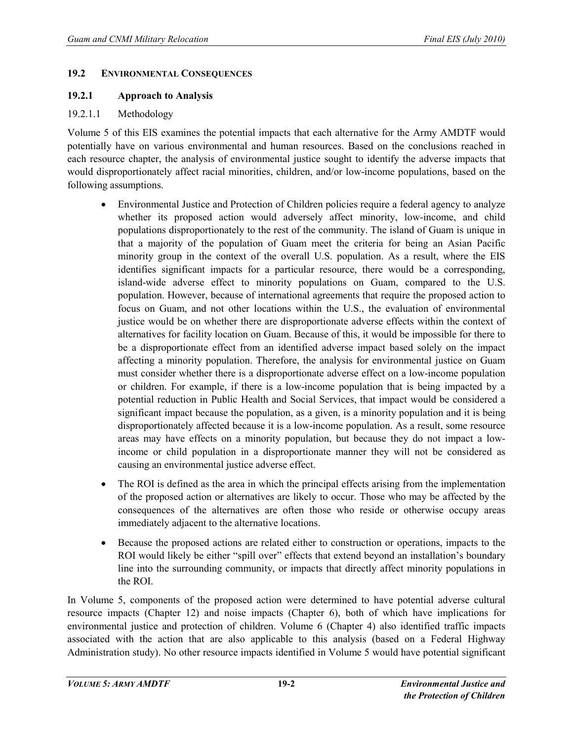### **19.2 ENVIRONMENTAL CONSEQUENCES**

# **19.2.1 Approach to Analysis**

# 19.2.1.1 Methodology

Volume 5 of this EIS examines the potential impacts that each alternative for the Army AMDTF would potentially have on various environmental and human resources. Based on the conclusions reached in each resource chapter, the analysis of environmental justice sought to identify the adverse impacts that would disproportionately affect racial minorities, children, and/or low-income populations, based on the following assumptions.

- Environmental Justice and Protection of Children policies require a federal agency to analyze whether its proposed action would adversely affect minority, low-income, and child populations disproportionately to the rest of the community. The island of Guam is unique in that a majority of the population of Guam meet the criteria for being an Asian Pacific minority group in the context of the overall U.S. population. As a result, where the EIS identifies significant impacts for a particular resource, there would be a corresponding, island-wide adverse effect to minority populations on Guam, compared to the U.S. population. However, because of international agreements that require the proposed action to focus on Guam, and not other locations within the U.S., the evaluation of environmental justice would be on whether there are disproportionate adverse effects within the context of alternatives for facility location on Guam. Because of this, it would be impossible for there to be a disproportionate effect from an identified adverse impact based solely on the impact affecting a minority population. Therefore, the analysis for environmental justice on Guam must consider whether there is a disproportionate adverse effect on a low-income population or children. For example, if there is a low-income population that is being impacted by a potential reduction in Public Health and Social Services, that impact would be considered a significant impact because the population, as a given, is a minority population and it is being disproportionately affected because it is a low-income population. As a result, some resource areas may have effects on a minority population, but because they do not impact a lowincome or child population in a disproportionate manner they will not be considered as causing an environmental justice adverse effect.
- The ROI is defined as the area in which the principal effects arising from the implementation of the proposed action or alternatives are likely to occur. Those who may be affected by the consequences of the alternatives are often those who reside or otherwise occupy areas immediately adjacent to the alternative locations.
- Because the proposed actions are related either to construction or operations, impacts to the ROI would likely be either "spill over" effects that extend beyond an installation's boundary line into the surrounding community, or impacts that directly affect minority populations in the ROI.

In Volume 5, components of the proposed action were determined to have potential adverse cultural resource impacts (Chapter 12) and noise impacts (Chapter 6), both of which have implications for environmental justice and protection of children. Volume 6 (Chapter 4) also identified traffic impacts associated with the action that are also applicable to this analysis (based on a Federal Highway Administration study). No other resource impacts identified in Volume 5 would have potential significant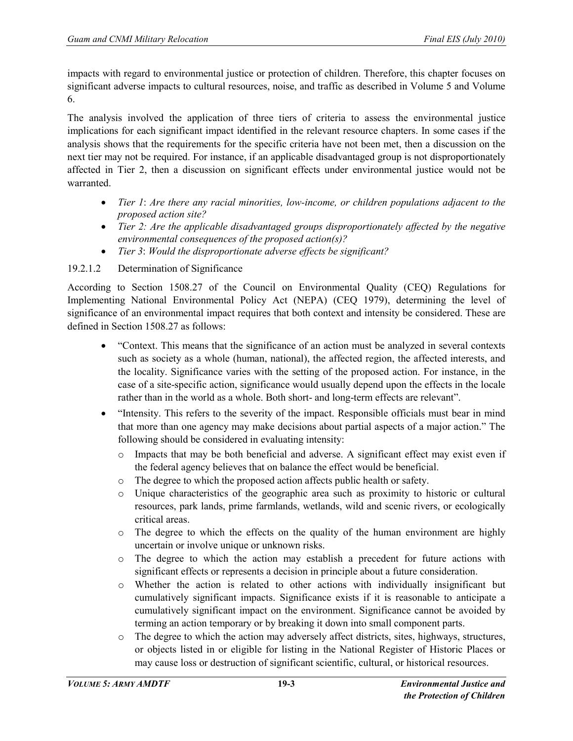impacts with regard to environmental justice or protection of children. Therefore, this chapter focuses on significant adverse impacts to cultural resources, noise, and traffic as described in Volume 5 and Volume 6.

The analysis involved the application of three tiers of criteria to assess the environmental justice implications for each significant impact identified in the relevant resource chapters. In some cases if the analysis shows that the requirements for the specific criteria have not been met, then a discussion on the next tier may not be required. For instance, if an applicable disadvantaged group is not disproportionately affected in Tier 2, then a discussion on significant effects under environmental justice would not be warranted.

- *Tier 1*: *Are there any racial minorities, low-income, or children populations adjacent to the proposed action site?*
- *Tier 2: Are the applicable disadvantaged groups disproportionately affected by the negative environmental consequences of the proposed action(s)?*
- *Tier 3*: *Would the disproportionate adverse effects be significant?*

# 19.2.1.2 Determination of Significance

According to Section 1508.27 of the Council on Environmental Quality (CEQ) Regulations for Implementing National Environmental Policy Act (NEPA) (CEQ 1979), determining the level of significance of an environmental impact requires that both context and intensity be considered. These are defined in Section 1508.27 as follows:

- "Context. This means that the significance of an action must be analyzed in several contexts such as society as a whole (human, national), the affected region, the affected interests, and the locality. Significance varies with the setting of the proposed action. For instance, in the case of a site-specific action, significance would usually depend upon the effects in the locale rather than in the world as a whole. Both short- and long-term effects are relevant".
- "Intensity. This refers to the severity of the impact. Responsible officials must bear in mind that more than one agency may make decisions about partial aspects of a major action." The following should be considered in evaluating intensity:
	- o Impacts that may be both beneficial and adverse. A significant effect may exist even if the federal agency believes that on balance the effect would be beneficial.
	- o The degree to which the proposed action affects public health or safety.
	- o Unique characteristics of the geographic area such as proximity to historic or cultural resources, park lands, prime farmlands, wetlands, wild and scenic rivers, or ecologically critical areas.
	- o The degree to which the effects on the quality of the human environment are highly uncertain or involve unique or unknown risks.
	- o The degree to which the action may establish a precedent for future actions with significant effects or represents a decision in principle about a future consideration.
	- o Whether the action is related to other actions with individually insignificant but cumulatively significant impacts. Significance exists if it is reasonable to anticipate a cumulatively significant impact on the environment. Significance cannot be avoided by terming an action temporary or by breaking it down into small component parts.
	- o The degree to which the action may adversely affect districts, sites, highways, structures, or objects listed in or eligible for listing in the National Register of Historic Places or may cause loss or destruction of significant scientific, cultural, or historical resources.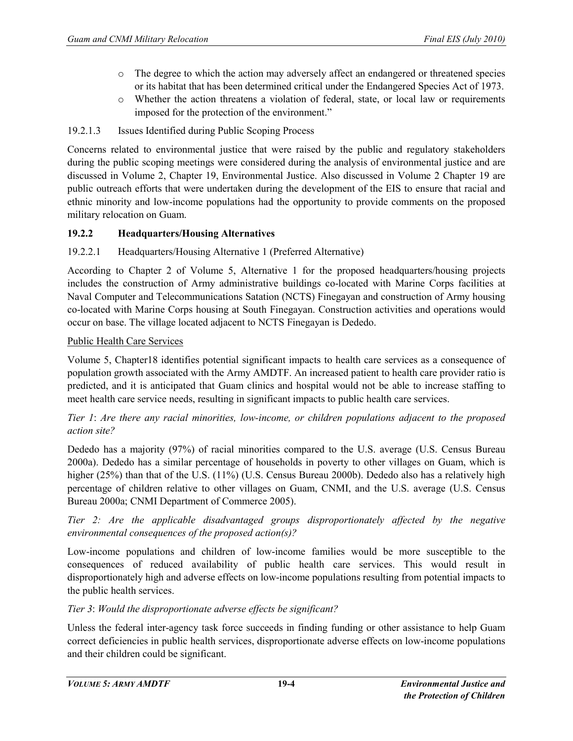- o The degree to which the action may adversely affect an endangered or threatened species or its habitat that has been determined critical under the Endangered Species Act of 1973.
- o Whether the action threatens a violation of federal, state, or local law or requirements imposed for the protection of the environment."

# 19.2.1.3 Issues Identified during Public Scoping Process

Concerns related to environmental justice that were raised by the public and regulatory stakeholders during the public scoping meetings were considered during the analysis of environmental justice and are discussed in Volume 2, Chapter 19, Environmental Justice. Also discussed in Volume 2 Chapter 19 are public outreach efforts that were undertaken during the development of the EIS to ensure that racial and ethnic minority and low-income populations had the opportunity to provide comments on the proposed military relocation on Guam.

# **19.2.2 Headquarters/Housing Alternatives**

# 19.2.2.1 Headquarters/Housing Alternative 1 (Preferred Alternative)

According to Chapter 2 of Volume 5, Alternative 1 for the proposed headquarters/housing projects includes the construction of Army administrative buildings co-located with Marine Corps facilities at Naval Computer and Telecommunications Satation (NCTS) Finegayan and construction of Army housing co-located with Marine Corps housing at South Finegayan. Construction activities and operations would occur on base. The village located adjacent to NCTS Finegayan is Dededo.

#### Public Health Care Services

Volume 5, Chapter18 identifies potential significant impacts to health care services as a consequence of population growth associated with the Army AMDTF. An increased patient to health care provider ratio is predicted, and it is anticipated that Guam clinics and hospital would not be able to increase staffing to meet health care service needs, resulting in significant impacts to public health care services.

# *Tier 1*: *Are there any racial minorities, low-income, or children populations adjacent to the proposed action site?*

Dededo has a majority (97%) of racial minorities compared to the U.S. average (U.S. Census Bureau 2000a). Dededo has a similar percentage of households in poverty to other villages on Guam, which is higher (25%) than that of the U.S. (11%) (U.S. Census Bureau 2000b). Dededo also has a relatively high percentage of children relative to other villages on Guam, CNMI, and the U.S. average (U.S. Census Bureau 2000a; CNMI Department of Commerce 2005).

*Tier 2: Are the applicable disadvantaged groups disproportionately affected by the negative environmental consequences of the proposed action(s)?* 

Low-income populations and children of low-income families would be more susceptible to the consequences of reduced availability of public health care services. This would result in disproportionately high and adverse effects on low-income populations resulting from potential impacts to the public health services.

# *Tier 3*: *Would the disproportionate adverse effects be significant?*

Unless the federal inter-agency task force succeeds in finding funding or other assistance to help Guam correct deficiencies in public health services, disproportionate adverse effects on low-income populations and their children could be significant.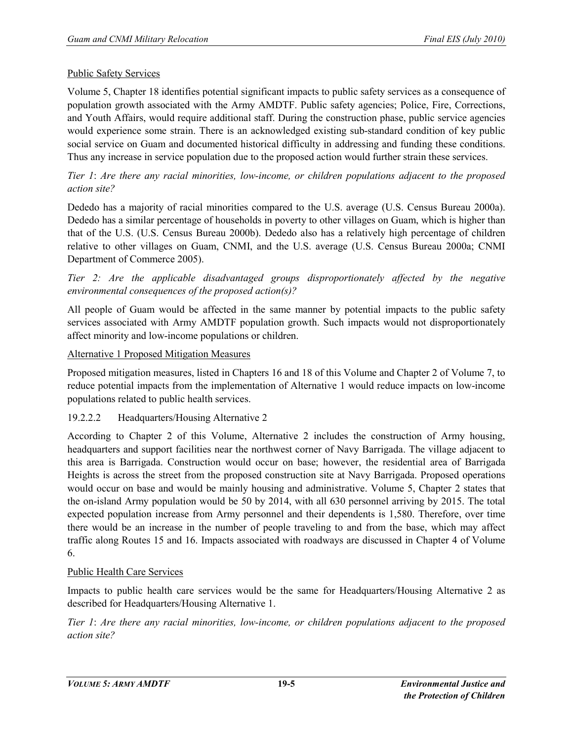# Public Safety Services

Volume 5, Chapter 18 identifies potential significant impacts to public safety services as a consequence of population growth associated with the Army AMDTF. Public safety agencies; Police, Fire, Corrections, and Youth Affairs, would require additional staff. During the construction phase, public service agencies would experience some strain. There is an acknowledged existing sub-standard condition of key public social service on Guam and documented historical difficulty in addressing and funding these conditions. Thus any increase in service population due to the proposed action would further strain these services.

# *Tier 1*: *Are there any racial minorities, low-income, or children populations adjacent to the proposed action site?*

Dededo has a majority of racial minorities compared to the U.S. average (U.S. Census Bureau 2000a). Dededo has a similar percentage of households in poverty to other villages on Guam, which is higher than that of the U.S. (U.S. Census Bureau 2000b). Dededo also has a relatively high percentage of children relative to other villages on Guam, CNMI, and the U.S. average (U.S. Census Bureau 2000a; CNMI Department of Commerce 2005).

*Tier 2: Are the applicable disadvantaged groups disproportionately affected by the negative environmental consequences of the proposed action(s)?* 

All people of Guam would be affected in the same manner by potential impacts to the public safety services associated with Army AMDTF population growth. Such impacts would not disproportionately affect minority and low-income populations or children.

#### Alternative 1 Proposed Mitigation Measures

Proposed mitigation measures, listed in Chapters 16 and 18 of this Volume and Chapter 2 of Volume 7, to reduce potential impacts from the implementation of Alternative 1 would reduce impacts on low-income populations related to public health services.

#### 19.2.2.2 Headquarters/Housing Alternative 2

According to Chapter 2 of this Volume, Alternative 2 includes the construction of Army housing, headquarters and support facilities near the northwest corner of Navy Barrigada. The village adjacent to this area is Barrigada. Construction would occur on base; however, the residential area of Barrigada Heights is across the street from the proposed construction site at Navy Barrigada. Proposed operations would occur on base and would be mainly housing and administrative. Volume 5, Chapter 2 states that the on-island Army population would be 50 by 2014, with all 630 personnel arriving by 2015. The total expected population increase from Army personnel and their dependents is 1,580. Therefore, over time there would be an increase in the number of people traveling to and from the base, which may affect traffic along Routes 15 and 16. Impacts associated with roadways are discussed in Chapter 4 of Volume 6.

#### Public Health Care Services

Impacts to public health care services would be the same for Headquarters/Housing Alternative 2 as described for Headquarters/Housing Alternative 1.

*Tier 1*: *Are there any racial minorities, low-income, or children populations adjacent to the proposed action site?*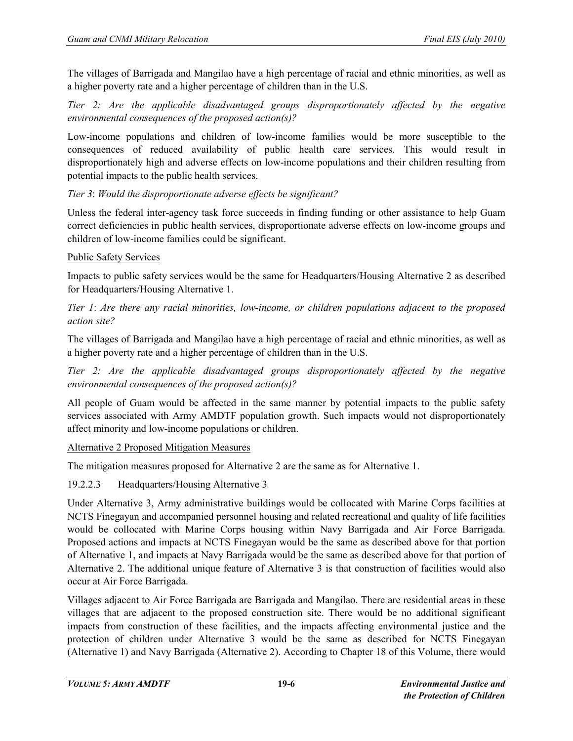The villages of Barrigada and Mangilao have a high percentage of racial and ethnic minorities, as well as a higher poverty rate and a higher percentage of children than in the U.S.

*Tier 2: Are the applicable disadvantaged groups disproportionately affected by the negative environmental consequences of the proposed action(s)?* 

Low-income populations and children of low-income families would be more susceptible to the consequences of reduced availability of public health care services. This would result in disproportionately high and adverse effects on low-income populations and their children resulting from potential impacts to the public health services.

# *Tier 3*: *Would the disproportionate adverse effects be significant?*

Unless the federal inter-agency task force succeeds in finding funding or other assistance to help Guam correct deficiencies in public health services, disproportionate adverse effects on low-income groups and children of low-income families could be significant.

# Public Safety Services

Impacts to public safety services would be the same for Headquarters/Housing Alternative 2 as described for Headquarters/Housing Alternative 1.

*Tier 1*: *Are there any racial minorities, low-income, or children populations adjacent to the proposed action site?* 

The villages of Barrigada and Mangilao have a high percentage of racial and ethnic minorities, as well as a higher poverty rate and a higher percentage of children than in the U.S.

*Tier 2: Are the applicable disadvantaged groups disproportionately affected by the negative environmental consequences of the proposed action(s)?* 

All people of Guam would be affected in the same manner by potential impacts to the public safety services associated with Army AMDTF population growth. Such impacts would not disproportionately affect minority and low-income populations or children.

#### Alternative 2 Proposed Mitigation Measures

The mitigation measures proposed for Alternative 2 are the same as for Alternative 1.

# 19.2.2.3 Headquarters/Housing Alternative 3

Under Alternative 3, Army administrative buildings would be collocated with Marine Corps facilities at NCTS Finegayan and accompanied personnel housing and related recreational and quality of life facilities would be collocated with Marine Corps housing within Navy Barrigada and Air Force Barrigada. Proposed actions and impacts at NCTS Finegayan would be the same as described above for that portion of Alternative 1, and impacts at Navy Barrigada would be the same as described above for that portion of Alternative 2. The additional unique feature of Alternative 3 is that construction of facilities would also occur at Air Force Barrigada.

Villages adjacent to Air Force Barrigada are Barrigada and Mangilao. There are residential areas in these villages that are adjacent to the proposed construction site. There would be no additional significant impacts from construction of these facilities, and the impacts affecting environmental justice and the protection of children under Alternative 3 would be the same as described for NCTS Finegayan (Alternative 1) and Navy Barrigada (Alternative 2). According to Chapter 18 of this Volume, there would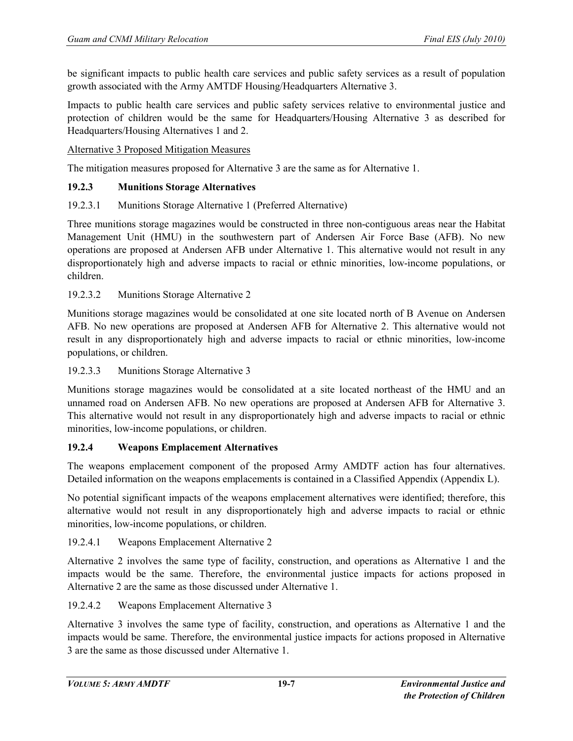be significant impacts to public health care services and public safety services as a result of population growth associated with the Army AMTDF Housing/Headquarters Alternative 3.

Impacts to public health care services and public safety services relative to environmental justice and protection of children would be the same for Headquarters/Housing Alternative 3 as described for Headquarters/Housing Alternatives 1 and 2.

Alternative 3 Proposed Mitigation Measures

The mitigation measures proposed for Alternative 3 are the same as for Alternative 1.

#### **19.2.3 Munitions Storage Alternatives**

# 19.2.3.1 Munitions Storage Alternative 1 (Preferred Alternative)

Three munitions storage magazines would be constructed in three non-contiguous areas near the Habitat Management Unit (HMU) in the southwestern part of Andersen Air Force Base (AFB). No new operations are proposed at Andersen AFB under Alternative 1. This alternative would not result in any disproportionately high and adverse impacts to racial or ethnic minorities, low-income populations, or children.

#### 19.2.3.2 Munitions Storage Alternative 2

Munitions storage magazines would be consolidated at one site located north of B Avenue on Andersen AFB. No new operations are proposed at Andersen AFB for Alternative 2. This alternative would not result in any disproportionately high and adverse impacts to racial or ethnic minorities, low-income populations, or children.

#### 19.2.3.3 Munitions Storage Alternative 3

Munitions storage magazines would be consolidated at a site located northeast of the HMU and an unnamed road on Andersen AFB. No new operations are proposed at Andersen AFB for Alternative 3. This alternative would not result in any disproportionately high and adverse impacts to racial or ethnic minorities, low-income populations, or children.

#### **19.2.4 Weapons Emplacement Alternatives**

The weapons emplacement component of the proposed Army AMDTF action has four alternatives. Detailed information on the weapons emplacements is contained in a Classified Appendix (Appendix L).

No potential significant impacts of the weapons emplacement alternatives were identified; therefore, this alternative would not result in any disproportionately high and adverse impacts to racial or ethnic minorities, low-income populations, or children.

#### 19.2.4.1 Weapons Emplacement Alternative 2

Alternative 2 involves the same type of facility, construction, and operations as Alternative 1 and the impacts would be the same. Therefore, the environmental justice impacts for actions proposed in Alternative 2 are the same as those discussed under Alternative 1.

#### 19.2.4.2 Weapons Emplacement Alternative 3

Alternative 3 involves the same type of facility, construction, and operations as Alternative 1 and the impacts would be same. Therefore, the environmental justice impacts for actions proposed in Alternative 3 are the same as those discussed under Alternative 1.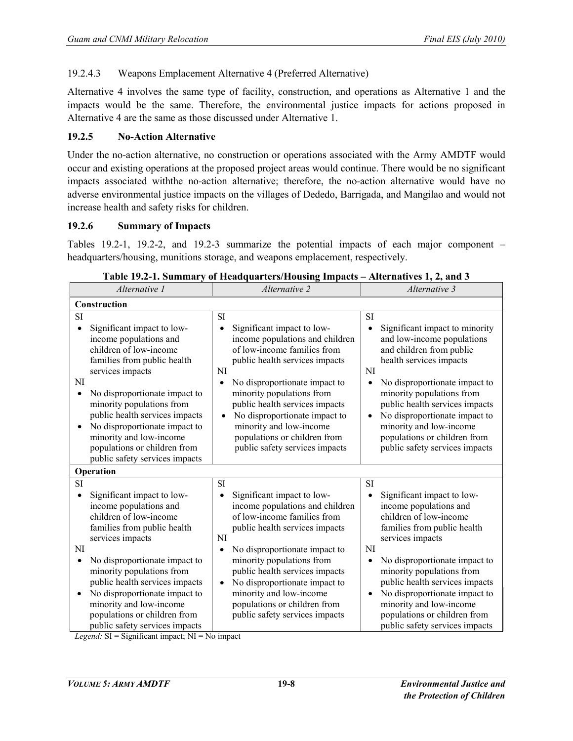# 19.2.4.3 Weapons Emplacement Alternative 4 (Preferred Alternative)

Alternative 4 involves the same type of facility, construction, and operations as Alternative 1 and the impacts would be the same. Therefore, the environmental justice impacts for actions proposed in Alternative 4 are the same as those discussed under Alternative 1.

# **19.2.5 No-Action Alternative**

Under the no-action alternative, no construction or operations associated with the Army AMDTF would occur and existing operations at the proposed project areas would continue. There would be no significant impacts associated withthe no-action alternative; therefore, the no-action alternative would have no adverse environmental justice impacts on the villages of Dededo, Barrigada, and Mangilao and would not increase health and safety risks for children.

#### **19.2.6 Summary of Impacts**

Tables 19.2-1, 19.2-2, and 19.2-3 summarize the potential impacts of each major component – headquarters/housing, munitions storage, and weapons emplacement, respectively.

| Alternative 1                                                                                                                                                                                                                                                                                                                                                                                                | Alternative 2                                                                                                                                                                                                                                                                                                                                                                                                          | Alternative 3                                                                                                                                                                                                                                                                                                                                                                                   |  |  |  |
|--------------------------------------------------------------------------------------------------------------------------------------------------------------------------------------------------------------------------------------------------------------------------------------------------------------------------------------------------------------------------------------------------------------|------------------------------------------------------------------------------------------------------------------------------------------------------------------------------------------------------------------------------------------------------------------------------------------------------------------------------------------------------------------------------------------------------------------------|-------------------------------------------------------------------------------------------------------------------------------------------------------------------------------------------------------------------------------------------------------------------------------------------------------------------------------------------------------------------------------------------------|--|--|--|
| Construction                                                                                                                                                                                                                                                                                                                                                                                                 |                                                                                                                                                                                                                                                                                                                                                                                                                        |                                                                                                                                                                                                                                                                                                                                                                                                 |  |  |  |
| <b>SI</b><br>Significant impact to low-<br>income populations and<br>children of low-income<br>families from public health<br>services impacts<br>NI<br>No disproportionate impact to<br>$\bullet$<br>minority populations from<br>public health services impacts<br>No disproportionate impact to<br>minority and low-income<br>populations or children from<br>public safety services impacts              | <b>SI</b><br>Significant impact to low-<br>$\bullet$<br>income populations and children<br>of low-income families from<br>public health services impacts<br>NI<br>No disproportionate impact to<br>$\bullet$<br>minority populations from<br>public health services impacts<br>No disproportionate impact to<br>$\bullet$<br>minority and low-income<br>populations or children from<br>public safety services impacts | <b>SI</b><br>Significant impact to minority<br>and low-income populations<br>and children from public<br>health services impacts<br>NI<br>No disproportionate impact to<br>minority populations from<br>public health services impacts<br>No disproportionate impact to<br>$\bullet$<br>minority and low-income<br>populations or children from<br>public safety services impacts               |  |  |  |
| Operation                                                                                                                                                                                                                                                                                                                                                                                                    |                                                                                                                                                                                                                                                                                                                                                                                                                        |                                                                                                                                                                                                                                                                                                                                                                                                 |  |  |  |
| <b>SI</b><br>Significant impact to low-<br>$\bullet$<br>income populations and<br>children of low-income<br>families from public health<br>services impacts<br>NI<br>No disproportionate impact to<br>$\bullet$<br>minority populations from<br>public health services impacts<br>No disproportionate impact to<br>minority and low-income<br>populations or children from<br>public safety services impacts | SI<br>Significant impact to low-<br>$\bullet$<br>income populations and children<br>of low-income families from<br>public health services impacts<br>NI<br>No disproportionate impact to<br>$\bullet$<br>minority populations from<br>public health services impacts<br>No disproportionate impact to<br>$\bullet$<br>minority and low-income<br>populations or children from<br>public safety services impacts        | <b>SI</b><br>Significant impact to low-<br>$\bullet$<br>income populations and<br>children of low-income<br>families from public health<br>services impacts<br>NI<br>No disproportionate impact to<br>minority populations from<br>public health services impacts<br>No disproportionate impact to<br>minority and low-income<br>populations or children from<br>public safety services impacts |  |  |  |

| Table 19.2-1. Summary of Headquarters/Housing Impacts - Alternatives 1, 2, and 3 |  |
|----------------------------------------------------------------------------------|--|
|                                                                                  |  |

*Legend:* SI = Significant impact; NI = No impact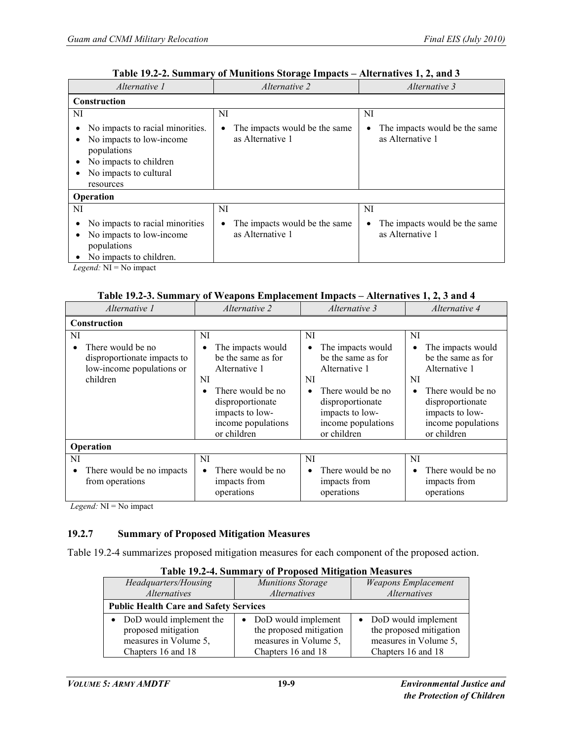| Alternative 1                                                                                                                                | <i>Alternative 2</i>                                           | Alternative 3                                                  |  |  |
|----------------------------------------------------------------------------------------------------------------------------------------------|----------------------------------------------------------------|----------------------------------------------------------------|--|--|
| Construction                                                                                                                                 |                                                                |                                                                |  |  |
| NI                                                                                                                                           | NI                                                             | NI                                                             |  |  |
| No impacts to racial minorities.<br>No impacts to low-income<br>populations<br>No impacts to children<br>No impacts to cultural<br>resources | The impacts would be the same<br>$\bullet$<br>as Alternative 1 | The impacts would be the same<br>$\bullet$<br>as Alternative 1 |  |  |
| Operation                                                                                                                                    |                                                                |                                                                |  |  |
| NI                                                                                                                                           | NI                                                             | NI                                                             |  |  |
| No impacts to racial minorities<br>No impacts to low-income<br>populations<br>No impacts to children.                                        | The impacts would be the same<br>$\bullet$<br>as Alternative 1 | The impacts would be the same<br>$\bullet$<br>as Alternative 1 |  |  |
| <i>Legend:</i> $NI = No$ impact                                                                                                              |                                                                |                                                                |  |  |

#### **Table 19.2-2. Summary of Munitions Storage Impacts – Alternatives 1, 2, and 3**

# **Table 19.2-3. Summary of Weapons Emplacement Impacts – Alternatives 1, 2, 3 and 4**

| Alternative 1                                                                                                | Alternative 2                                                                                                                                                                           | Alternative 3                                                                                                                                                                                   | Alternative 4                                                                                                                                                         |  |
|--------------------------------------------------------------------------------------------------------------|-----------------------------------------------------------------------------------------------------------------------------------------------------------------------------------------|-------------------------------------------------------------------------------------------------------------------------------------------------------------------------------------------------|-----------------------------------------------------------------------------------------------------------------------------------------------------------------------|--|
| Construction                                                                                                 |                                                                                                                                                                                         |                                                                                                                                                                                                 |                                                                                                                                                                       |  |
| NI<br>There would be no<br>$\bullet$<br>disproportionate impacts to<br>low-income populations or<br>children | NI<br>The impacts would<br>٠<br>be the same as for<br>Alternative 1<br>NI<br>There would be no<br>$\bullet$<br>disproportionate<br>impacts to low-<br>income populations<br>or children | NI<br>The impacts would<br>$\bullet$<br>be the same as for<br>Alternative 1<br>NI<br>There would be no<br>$\bullet$<br>disproportionate<br>impacts to low-<br>income populations<br>or children | NI<br>The impacts would<br>be the same as for<br>Alternative 1<br>NI<br>There would be no<br>disproportionate<br>impacts to low-<br>income populations<br>or children |  |
| Operation                                                                                                    |                                                                                                                                                                                         |                                                                                                                                                                                                 |                                                                                                                                                                       |  |
| NI                                                                                                           | NI                                                                                                                                                                                      | NI                                                                                                                                                                                              | NI                                                                                                                                                                    |  |
| There would be no impacts<br>$\bullet$<br>from operations                                                    | There would be no<br>$\bullet$<br>impacts from<br>operations                                                                                                                            | There would be no<br>$\bullet$<br>impacts from<br>operations                                                                                                                                    | There would be no<br>impacts from<br>operations                                                                                                                       |  |

*Legend:* NI = No impact

#### **19.2.7 Summary of Proposed Mitigation Measures**

Table 19.2-4 summarizes proposed mitigation measures for each component of the proposed action.

| Headquarters/Housing                          | <b>Munitions Storage</b> | <b>Weapons Emplacement</b> |  |
|-----------------------------------------------|--------------------------|----------------------------|--|
| <i>Alternatives</i>                           | <i>Alternatives</i>      | Alternatives               |  |
| <b>Public Health Care and Safety Services</b> |                          |                            |  |
| • DoD would implement the                     | • DoD would implement    | • DoD would implement      |  |
| proposed mitigation                           | the proposed mitigation  | the proposed mitigation    |  |
| measures in Volume 5,                         | measures in Volume 5,    | measures in Volume 5,      |  |
| Chapters 16 and 18                            | Chapters 16 and 18       | Chapters 16 and 18         |  |

#### **Table 19.2-4. Summary of Proposed Mitigation Measures**